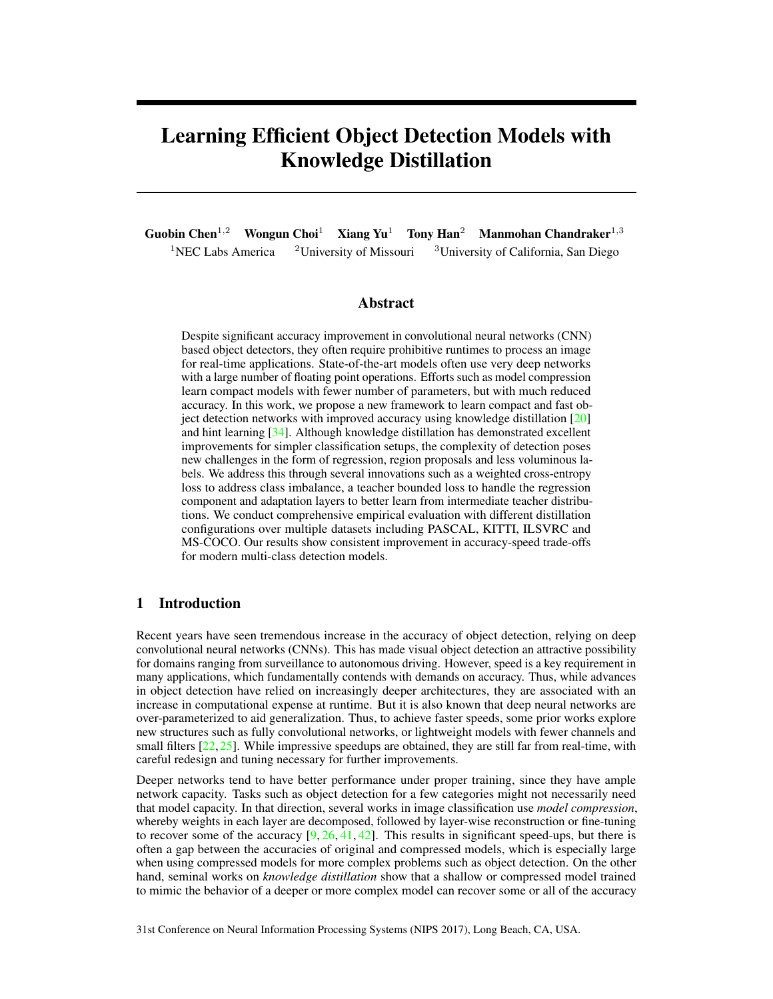# Learning Efficient Object Detection Models with Knowledge Distillation

Guobin Chen<sup>1,2</sup> Wongun Choi<sup>1</sup> Xiang Yu<sup>1</sup> Tony Han<sup>2</sup> Manmohan Chandraker<sup>1,3</sup> <sup>1</sup>NEC Labs America <sup>2</sup>University of Missouri <sup>3</sup>University of California, San Diego

## Abstract

Despite significant accuracy improvement in convolutional neural networks (CNN) based object detectors, they often require prohibitive runtimes to process an image for real-time applications. State-of-the-art models often use very deep networks with a large number of floating point operations. Efforts such as model compression learn compact models with fewer number of parameters, but with much reduced accuracy. In this work, we propose a new framework to learn compact and fast object detection networks with improved accuracy using knowledge distillation [20] and hint learning [34]. Although knowledge distillation has demonstrated excellent improvements for simpler classification setups, the complexity of detection poses new challenges in the form of regression, region proposals and less voluminous labels. We address this through several innovations such as a weighted cross-entropy loss to address class imbalance, a teacher bounded loss to handle the regression component and adaptation layers to better learn from intermediate teacher distributions. We conduct comprehensive empirical evaluation with different distillation configurations over multiple datasets including PASCAL, KITTI, ILSVRC and MS-COCO. Our results show consistent improvement in accuracy-speed trade-offs for modern multi-class detection models.

# 1 Introduction

Recent years have seen tremendous increase in the accuracy of object detection, relying on deep convolutional neural networks (CNNs). This has made visual object detection an attractive possibility for domains ranging from surveillance to autonomous driving. However, speed is a key requirement in many applications, which fundamentally contends with demands on accuracy. Thus, while advances in object detection have relied on increasingly deeper architectures, they are associated with an increase in computational expense at runtime. But it is also known that deep neural networks are over-parameterized to aid generalization. Thus, to achieve faster speeds, some prior works explore new structures such as fully convolutional networks, or lightweight models with fewer channels and small filters [22, 25]. While impressive speedups are obtained, they are still far from real-time, with careful redesign and tuning necessary for further improvements.

Deeper networks tend to have better performance under proper training, since they have ample network capacity. Tasks such as object detection for a few categories might not necessarily need that model capacity. In that direction, several works in image classification use *model compression*, whereby weights in each layer are decomposed, followed by layer-wise reconstruction or fine-tuning to recover some of the accuracy  $[9, 26, 41, 42]$ . This results in significant speed-ups, but there is often a gap between the accuracies of original and compressed models, which is especially large when using compressed models for more complex problems such as object detection. On the other hand, seminal works on *knowledge distillation* show that a shallow or compressed model trained to mimic the behavior of a deeper or more complex model can recover some or all of the accuracy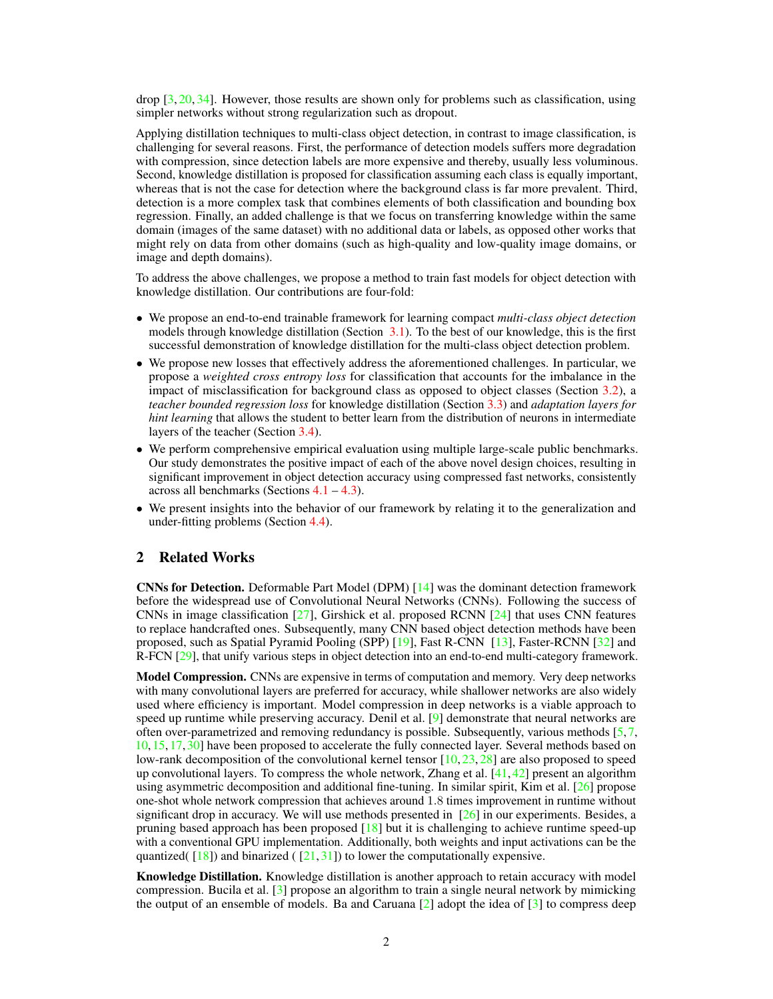drop [3, 20, 34]. However, those results are shown only for problems such as classification, using simpler networks without strong regularization such as dropout.

Applying distillation techniques to multi-class object detection, in contrast to image classification, is challenging for several reasons. First, the performance of detection models suffers more degradation with compression, since detection labels are more expensive and thereby, usually less voluminous. Second, knowledge distillation is proposed for classification assuming each class is equally important, whereas that is not the case for detection where the background class is far more prevalent. Third, detection is a more complex task that combines elements of both classification and bounding box regression. Finally, an added challenge is that we focus on transferring knowledge within the same domain (images of the same dataset) with no additional data or labels, as opposed other works that might rely on data from other domains (such as high-quality and low-quality image domains, or image and depth domains).

To address the above challenges, we propose a method to train fast models for object detection with knowledge distillation. Our contributions are four-fold:

- We propose an end-to-end trainable framework for learning compact *multi-class object detection* models through knowledge distillation (Section 3.1). To the best of our knowledge, this is the first successful demonstration of knowledge distillation for the multi-class object detection problem.
- We propose new losses that effectively address the aforementioned challenges. In particular, we propose a *weighted cross entropy loss* for classification that accounts for the imbalance in the impact of misclassification for background class as opposed to object classes (Section 3.2), a *teacher bounded regression loss* for knowledge distillation (Section 3.3) and *adaptation layers for hint learning* that allows the student to better learn from the distribution of neurons in intermediate layers of the teacher (Section 3.4).
- We perform comprehensive empirical evaluation using multiple large-scale public benchmarks. Our study demonstrates the positive impact of each of the above novel design choices, resulting in significant improvement in object detection accuracy using compressed fast networks, consistently across all benchmarks (Sections  $4.1 - 4.3$ ).
- We present insights into the behavior of our framework by relating it to the generalization and under-fitting problems (Section 4.4).

# 2 Related Works

CNNs for Detection. Deformable Part Model (DPM) [14] was the dominant detection framework before the widespread use of Convolutional Neural Networks (CNNs). Following the success of CNNs in image classification [27], Girshick et al. proposed RCNN [24] that uses CNN features to replace handcrafted ones. Subsequently, many CNN based object detection methods have been proposed, such as Spatial Pyramid Pooling (SPP) [19], Fast R-CNN [13], Faster-RCNN [32] and R-FCN [29], that unify various steps in object detection into an end-to-end multi-category framework.

Model Compression. CNNs are expensive in terms of computation and memory. Very deep networks with many convolutional layers are preferred for accuracy, while shallower networks are also widely used where efficiency is important. Model compression in deep networks is a viable approach to speed up runtime while preserving accuracy. Denil et al. [9] demonstrate that neural networks are often over-parametrized and removing redundancy is possible. Subsequently, various methods [5, 7, 10, 15, 17, 30] have been proposed to accelerate the fully connected layer. Several methods based on low-rank decomposition of the convolutional kernel tensor [10, 23, 28] are also proposed to speed up convolutional layers. To compress the whole network, Zhang et al.  $[41, 42]$  present an algorithm using asymmetric decomposition and additional fine-tuning. In similar spirit, Kim et al.  $[26]$  propose one-shot whole network compression that achieves around 1.8 times improvement in runtime without significant drop in accuracy. We will use methods presented in  $[26]$  in our experiments. Besides, a pruning based approach has been proposed [18] but it is challenging to achieve runtime speed-up with a conventional GPU implementation. Additionally, both weights and input activations can be the quantized( $\left( \begin{array}{c} 18 \\ 18 \end{array} \right)$ ) and binarized ( $\left( \begin{array}{c} 21,31 \\ 21,31 \end{array} \right)$ ) to lower the computationally expensive.

Knowledge Distillation. Knowledge distillation is another approach to retain accuracy with model compression. Bucila et al. [3] propose an algorithm to train a single neural network by mimicking the output of an ensemble of models. Ba and Caruana  $\lceil 2 \rceil$  adopt the idea of  $\lceil 3 \rceil$  to compress deep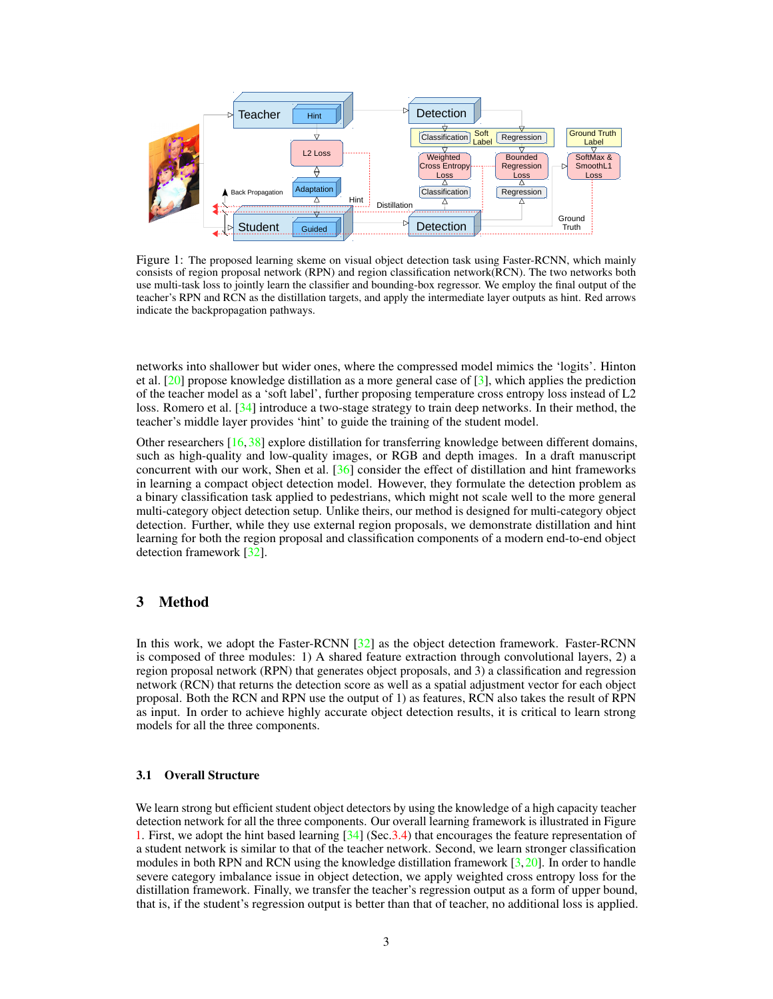

Figure 1: The proposed learning skeme on visual object detection task using Faster-RCNN, which mainly consists of region proposal network (RPN) and region classification network(RCN). The two networks both use multi-task loss to jointly learn the classifier and bounding-box regressor. We employ the final output of the teacher's RPN and RCN as the distillation targets, and apply the intermediate layer outputs as hint. Red arrows indicate the backpropagation pathways.

networks into shallower but wider ones, where the compressed model mimics the 'logits'. Hinton et al. [20] propose knowledge distillation as a more general case of [3], which applies the prediction of the teacher model as a 'soft label', further proposing temperature cross entropy loss instead of L2 loss. Romero et al. [34] introduce a two-stage strategy to train deep networks. In their method, the teacher's middle layer provides 'hint' to guide the training of the student model.

Other researchers [16, 38] explore distillation for transferring knowledge between different domains, such as high-quality and low-quality images, or RGB and depth images. In a draft manuscript concurrent with our work, Shen et al.  $[36]$  consider the effect of distillation and hint frameworks in learning a compact object detection model. However, they formulate the detection problem as a binary classification task applied to pedestrians, which might not scale well to the more general multi-category object detection setup. Unlike theirs, our method is designed for multi-category object detection. Further, while they use external region proposals, we demonstrate distillation and hint learning for both the region proposal and classification components of a modern end-to-end object detection framework [32].

## 3 Method

In this work, we adopt the Faster-RCNN [32] as the object detection framework. Faster-RCNN is composed of three modules: 1) A shared feature extraction through convolutional layers, 2) a region proposal network (RPN) that generates object proposals, and 3) a classification and regression network (RCN) that returns the detection score as well as a spatial adjustment vector for each object proposal. Both the RCN and RPN use the output of 1) as features, RCN also takes the result of RPN as input. In order to achieve highly accurate object detection results, it is critical to learn strong models for all the three components.

#### 3.1 Overall Structure

We learn strong but efficient student object detectors by using the knowledge of a high capacity teacher detection network for all the three components. Our overall learning framework is illustrated in Figure 1. First, we adopt the hint based learning [34] (Sec.3.4) that encourages the feature representation of a student network is similar to that of the teacher network. Second, we learn stronger classification modules in both RPN and RCN using the knowledge distillation framework [3,20]. In order to handle severe category imbalance issue in object detection, we apply weighted cross entropy loss for the distillation framework. Finally, we transfer the teacher's regression output as a form of upper bound, that is, if the student's regression output is better than that of teacher, no additional loss is applied.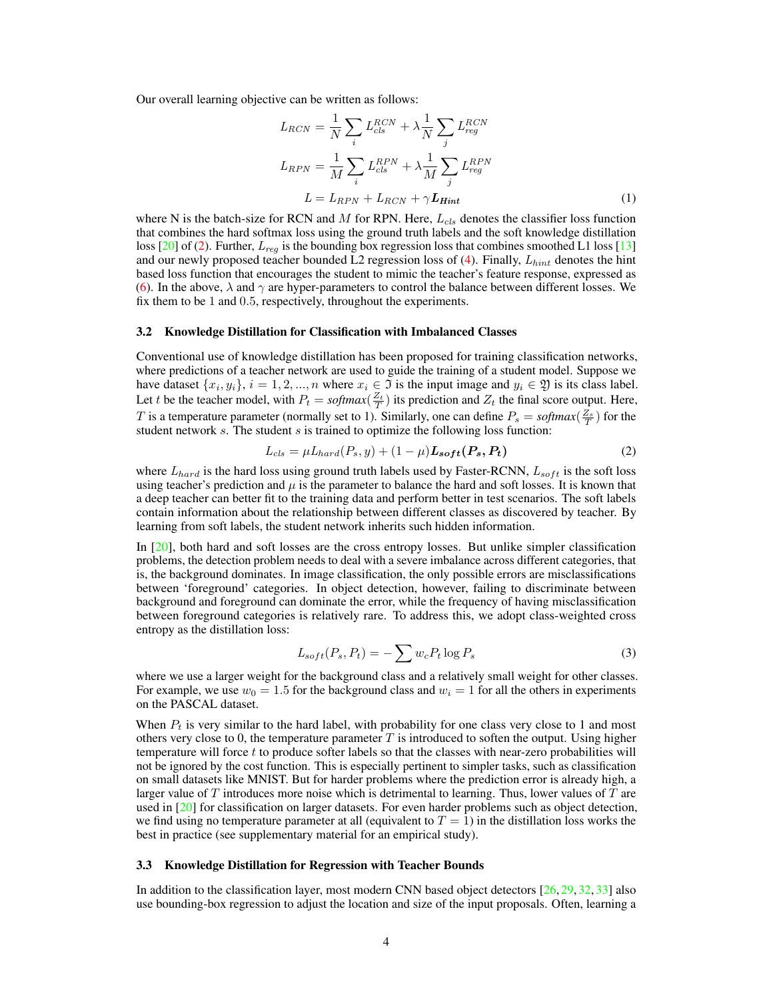Our overall learning objective can be written as follows:

$$
L_{RCN} = \frac{1}{N} \sum_{i} L_{cls}^{RCN} + \lambda \frac{1}{N} \sum_{j} L_{reg}^{RCN}
$$

$$
L_{RPN} = \frac{1}{M} \sum_{i} L_{cls}^{RPN} + \lambda \frac{1}{M} \sum_{j} L_{reg}^{RPN}
$$

$$
L = L_{RPN} + L_{RCN} + \gamma L_{Hint}
$$
(1)

where N is the batch-size for RCN and M for RPN. Here,  $L_{cls}$  denotes the classifier loss function that combines the hard softmax loss using the ground truth labels and the soft knowledge distillation loss [20] of (2). Further,  $L_{reg}$  is the bounding box regression loss that combines smoothed L1 loss [13] and our newly proposed teacher bounded L2 regression loss of  $(4)$ . Finally,  $L_{hint}$  denotes the hint based loss function that encourages the student to mimic the teacher's feature response, expressed as (6). In the above,  $\lambda$  and  $\gamma$  are hyper-parameters to control the balance between different losses. We fix them to be 1 and 0.5, respectively, throughout the experiments.

#### 3.2 Knowledge Distillation for Classification with Imbalanced Classes

Conventional use of knowledge distillation has been proposed for training classification networks, where predictions of a teacher network are used to guide the training of a student model. Suppose we have dataset  $\{x_i, y_i\}, i = 1, 2, ..., n$  where  $x_i \in \mathfrak{I}$  is the input image and  $y_i \in \mathfrak{Y}$  is its class label. Let t be the teacher model, with  $P_t = \text{softmax}(\frac{Z_t}{T})$  its prediction and  $Z_t$  the final score output. Here, T is a temperature parameter (normally set to 1). Similarly, one can define  $P_s = softmax(\frac{Z_s}{T})$  for the student network  $s$ . The student  $s$  is trained to optimize the following loss function:

$$
L_{cls} = \mu L_{hard}(P_s, y) + (1 - \mu) L_{soft}(P_s, P_t)
$$
\n<sup>(2)</sup>

where  $L_{hard}$  is the hard loss using ground truth labels used by Faster-RCNN,  $L_{soft}$  is the soft loss using teacher's prediction and  $\mu$  is the parameter to balance the hard and soft losses. It is known that a deep teacher can better fit to the training data and perform better in test scenarios. The soft labels contain information about the relationship between different classes as discovered by teacher. By learning from soft labels, the student network inherits such hidden information.

In [20], both hard and soft losses are the cross entropy losses. But unlike simpler classification problems, the detection problem needs to deal with a severe imbalance across different categories, that is, the background dominates. In image classification, the only possible errors are misclassifications between 'foreground' categories. In object detection, however, failing to discriminate between background and foreground can dominate the error, while the frequency of having misclassification between foreground categories is relatively rare. To address this, we adopt class-weighted cross entropy as the distillation loss:

$$
L_{soft}(P_s, P_t) = -\sum w_c P_t \log P_s \tag{3}
$$

where we use a larger weight for the background class and a relatively small weight for other classes. For example, we use  $w_0 = 1.5$  for the background class and  $w_i = 1$  for all the others in experiments on the PASCAL dataset.

When  $P_t$  is very similar to the hard label, with probability for one class very close to 1 and most others very close to 0, the temperature parameter  $T$  is introduced to soften the output. Using higher temperature will force t to produce softer labels so that the classes with near-zero probabilities will not be ignored by the cost function. This is especially pertinent to simpler tasks, such as classification on small datasets like MNIST. But for harder problems where the prediction error is already high, a larger value of  $T$  introduces more noise which is detrimental to learning. Thus, lower values of  $T$  are used in [20] for classification on larger datasets. For even harder problems such as object detection, we find using no temperature parameter at all (equivalent to  $T = 1$ ) in the distillation loss works the best in practice (see supplementary material for an empirical study).

#### 3.3 Knowledge Distillation for Regression with Teacher Bounds

In addition to the classification layer, most modern CNN based object detectors [26, 29, 32, 33] also use bounding-box regression to adjust the location and size of the input proposals. Often, learning a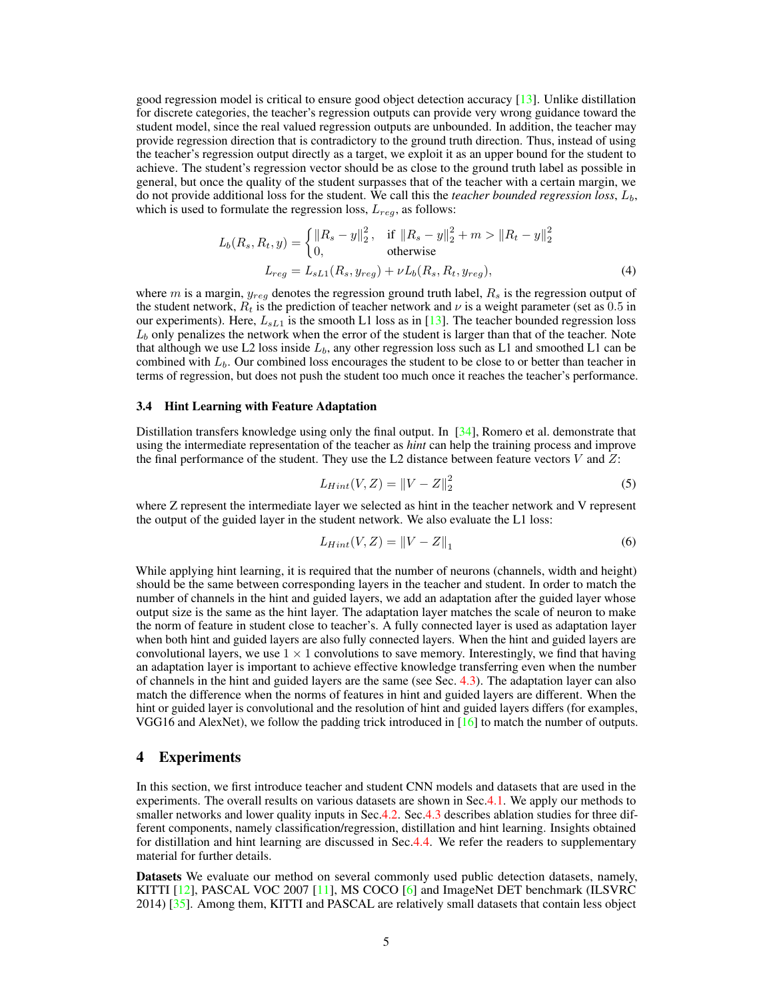good regression model is critical to ensure good object detection accuracy [13]. Unlike distillation for discrete categories, the teacher's regression outputs can provide very wrong guidance toward the student model, since the real valued regression outputs are unbounded. In addition, the teacher may provide regression direction that is contradictory to the ground truth direction. Thus, instead of using the teacher's regression output directly as a target, we exploit it as an upper bound for the student to achieve. The student's regression vector should be as close to the ground truth label as possible in general, but once the quality of the student surpasses that of the teacher with a certain margin, we do not provide additional loss for the student. We call this the *teacher bounded regression loss*,  $L<sub>b</sub>$ , which is used to formulate the regression loss,  $L_{reg}$ , as follows:

$$
L_b(R_s, R_t, y) = \begin{cases} ||R_s - y||_2^2, & \text{if } ||R_s - y||_2^2 + m > ||R_t - y||_2^2 \\ 0, & \text{otherwise} \end{cases}
$$
  

$$
L_{reg} = L_{sL1}(R_s, y_{reg}) + \nu L_b(R_s, R_t, y_{reg}),
$$
 (4)

where  $m$  is a margin,  $y_{reg}$  denotes the regression ground truth label,  $R_s$  is the regression output of the student network,  $R_t$  is the prediction of teacher network and  $\nu$  is a weight parameter (set as 0.5 in our experiments). Here,  $L_{sL1}$  is the smooth L1 loss as in [13]. The teacher bounded regression loss  $L_b$  only penalizes the network when the error of the student is larger than that of the teacher. Note that although we use L2 loss inside  $L_b$ , any other regression loss such as L1 and smoothed L1 can be combined with  $L<sub>b</sub>$ . Our combined loss encourages the student to be close to or better than teacher in terms of regression, but does not push the student too much once it reaches the teacher's performance.

#### 3.4 Hint Learning with Feature Adaptation

Distillation transfers knowledge using only the final output. In  $\left[34\right]$ , Romero et al. demonstrate that using the intermediate representation of the teacher as *hint* can help the training process and improve the final performance of the student. They use the L2 distance between feature vectors  $V$  and  $Z$ :

$$
L_{Hint}(V, Z) = \|V - Z\|_2^2 \tag{5}
$$

where Z represent the intermediate layer we selected as hint in the teacher network and V represent the output of the guided layer in the student network. We also evaluate the L1 loss:

$$
L_{Hint}(V, Z) = \|V - Z\|_1
$$
\n(6)

While applying hint learning, it is required that the number of neurons (channels, width and height) should be the same between corresponding layers in the teacher and student. In order to match the number of channels in the hint and guided layers, we add an adaptation after the guided layer whose output size is the same as the hint layer. The adaptation layer matches the scale of neuron to make the norm of feature in student close to teacher's. A fully connected layer is used as adaptation layer when both hint and guided layers are also fully connected layers. When the hint and guided layers are convolutional layers, we use  $1 \times 1$  convolutions to save memory. Interestingly, we find that having an adaptation layer is important to achieve effective knowledge transferring even when the number of channels in the hint and guided layers are the same (see Sec. 4.3). The adaptation layer can also match the difference when the norms of features in hint and guided layers are different. When the hint or guided layer is convolutional and the resolution of hint and guided layers differs (for examples, VGG16 and AlexNet), we follow the padding trick introduced in  $[16]$  to match the number of outputs.

## 4 Experiments

In this section, we first introduce teacher and student CNN models and datasets that are used in the experiments. The overall results on various datasets are shown in Sec.4.1. We apply our methods to smaller networks and lower quality inputs in Sec.4.2. Sec.4.3 describes ablation studies for three different components, namely classification/regression, distillation and hint learning. Insights obtained for distillation and hint learning are discussed in Sec.4.4. We refer the readers to supplementary material for further details.

Datasets We evaluate our method on several commonly used public detection datasets, namely, KITTI [12], PASCAL VOC 2007 [11], MS COCO [6] and ImageNet DET benchmark (ILSVRC 2014) [35]. Among them, KITTI and PASCAL are relatively small datasets that contain less object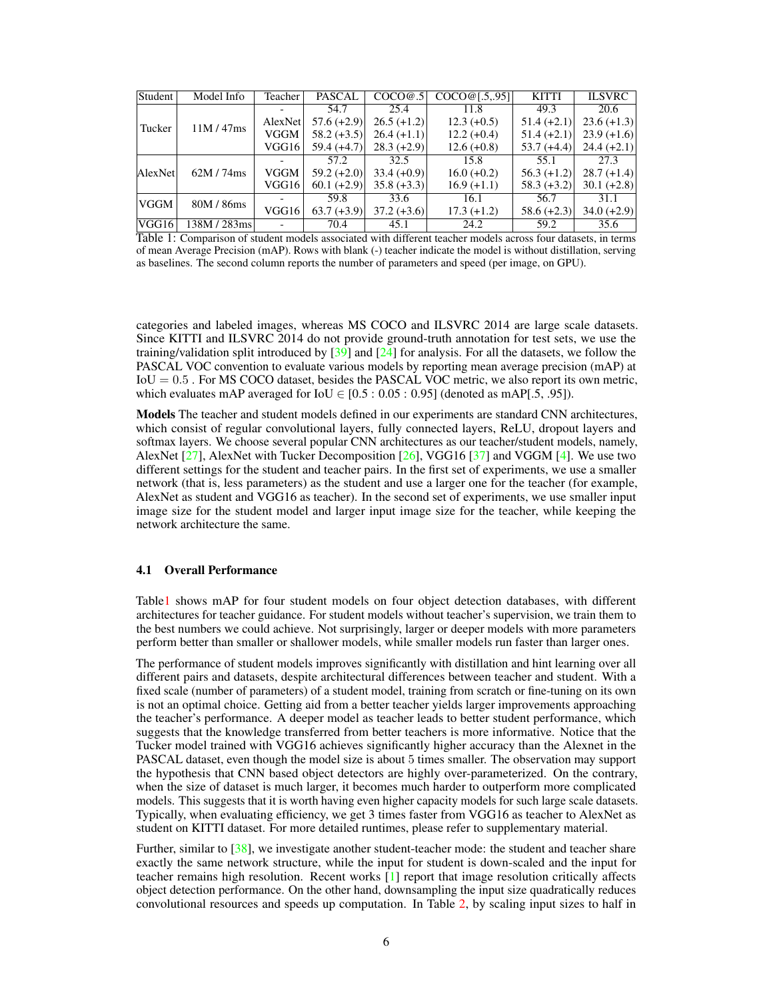| Student | Model Info | Teacher | <b>PASCAL</b> | COCO@.5       | COCO@[.5, .95] | <b>KITTI</b>  | <b>ILSVRC</b> |
|---------|------------|---------|---------------|---------------|----------------|---------------|---------------|
|         | 11M/47ms   |         | 54.7          | 25.4          | 11.8           | 49.3          | 20.6          |
| Tucker  |            | AlexNet | $57.6 (+2.9)$ | $26.5 (+1.2)$ | $12.3 (+0.5)$  | $51.4 (+2.1)$ | $23.6 (+1.3)$ |
|         |            | VGGM    | $58.2 (+3.5)$ | $26.4 (+1.1)$ | $12.2 (+0.4)$  | $51.4 (+2.1)$ | $23.9 (+1.6)$ |
|         |            | VGG16   | $59.4 (+4.7)$ | $28.3 (+2.9)$ | $12.6 (+0.8)$  | $53.7 (+4.4)$ | $24.4 (+2.1)$ |
|         |            |         | 57.2          | 32.5          | 15.8           | 55.1          | 27.3          |
| AlexNet | 62M/74ms   | VGGM    | $59.2 (+2.0)$ | $33.4 (+0.9)$ | $16.0 (+0.2)$  | $56.3 (+1.2)$ | $28.7 (+1.4)$ |
|         |            | VGG16   | $60.1 (+2.9)$ | $35.8 (+3.3)$ | $16.9 (+1.1)$  | $58.3 (+3.2)$ | $30.1 (+2.8)$ |
| VGGM    | 80M / 86ms |         | 59.8          | 33.6          | 16.1           | 56.7          | 31.1          |
|         |            | VGG16   | $63.7 (+3.9)$ | $37.2 (+3.6)$ | $17.3 (+1.2)$  | $58.6 (+2.3)$ | $34.0 (+2.9)$ |
| VGG16   | 138M/283ms |         | 70.4          | 45.1          | 24.2           | 59.2          | 35.6          |

Table 1: Comparison of student models associated with different teacher models across four datasets, in terms of mean Average Precision (mAP). Rows with blank (-) teacher indicate the model is without distillation, serving as baselines. The second column reports the number of parameters and speed (per image, on GPU).

categories and labeled images, whereas MS COCO and ILSVRC 2014 are large scale datasets. Since KITTI and ILSVRC 2014 do not provide ground-truth annotation for test sets, we use the training/validation split introduced by  $[39]$  and  $[24]$  for analysis. For all the datasets, we follow the PASCAL VOC convention to evaluate various models by reporting mean average precision (mAP) at  $IoU = 0.5$ . For MS COCO dataset, besides the PASCAL VOC metric, we also report its own metric, which evaluates mAP averaged for  $IoU \in [0.5:0.05:0.95]$  (denoted as mAP[.5, .95]).

Models The teacher and student models defined in our experiments are standard CNN architectures, which consist of regular convolutional layers, fully connected layers, ReLU, dropout layers and softmax layers. We choose several popular CNN architectures as our teacher/student models, namely, AlexNet  $[27]$ , AlexNet with Tucker Decomposition  $[26]$ , VGG16  $[37]$  and VGGM  $[4]$ . We use two different settings for the student and teacher pairs. In the first set of experiments, we use a smaller network (that is, less parameters) as the student and use a larger one for the teacher (for example, AlexNet as student and VGG16 as teacher). In the second set of experiments, we use smaller input image size for the student model and larger input image size for the teacher, while keeping the network architecture the same.

#### 4.1 Overall Performance

Table1 shows mAP for four student models on four object detection databases, with different architectures for teacher guidance. For student models without teacher's supervision, we train them to the best numbers we could achieve. Not surprisingly, larger or deeper models with more parameters perform better than smaller or shallower models, while smaller models run faster than larger ones.

The performance of student models improves significantly with distillation and hint learning over all different pairs and datasets, despite architectural differences between teacher and student. With a fixed scale (number of parameters) of a student model, training from scratch or fine-tuning on its own is not an optimal choice. Getting aid from a better teacher yields larger improvements approaching the teacher's performance. A deeper model as teacher leads to better student performance, which suggests that the knowledge transferred from better teachers is more informative. Notice that the Tucker model trained with VGG16 achieves significantly higher accuracy than the Alexnet in the PASCAL dataset, even though the model size is about 5 times smaller. The observation may support the hypothesis that CNN based object detectors are highly over-parameterized. On the contrary, when the size of dataset is much larger, it becomes much harder to outperform more complicated models. This suggests that it is worth having even higher capacity models for such large scale datasets. Typically, when evaluating efficiency, we get 3 times faster from VGG16 as teacher to AlexNet as student on KITTI dataset. For more detailed runtimes, please refer to supplementary material.

Further, similar to [38], we investigate another student-teacher mode: the student and teacher share exactly the same network structure, while the input for student is down-scaled and the input for teacher remains high resolution. Recent works [1] report that image resolution critically affects object detection performance. On the other hand, downsampling the input size quadratically reduces convolutional resources and speeds up computation. In Table 2, by scaling input sizes to half in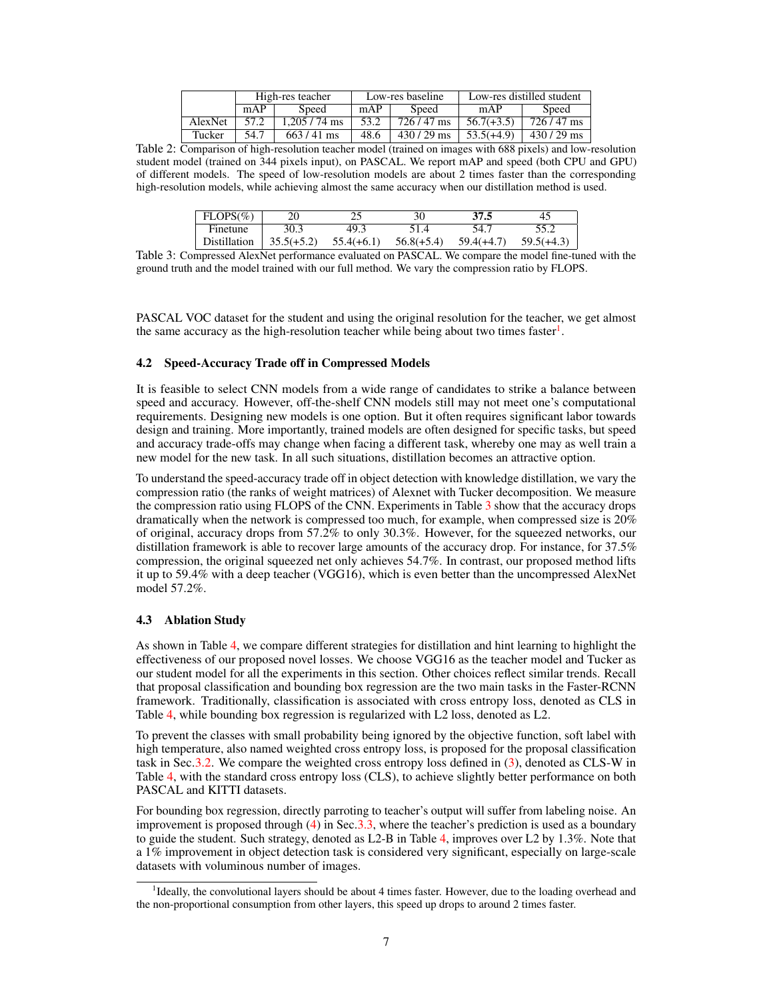|         |      | High-res teacher |      | Low-res baseline | Low-res distilled student |             |  |
|---------|------|------------------|------|------------------|---------------------------|-------------|--|
|         | mAP  | Speed            | mAP  | Speed            | mAP                       | Speed       |  |
| AlexNet | 57.2 | $1.205 / 74$ ms  | 53.2 | $726/47$ ms      | $56.7(+3.5)$              | $726/47$ ms |  |
| Tucker  | 54.7 | $663/41$ ms      | 48.6 | $430/29$ ms      | $53.5(+4.9)$              | $430/29$ ms |  |

Table 2: Comparison of high-resolution teacher model (trained on images with 688 pixels) and low-resolution student model (trained on 344 pixels input), on PASCAL. We report mAP and speed (both CPU and GPU) of different models. The speed of low-resolution models are about 2 times faster than the corresponding high-resolution models, while achieving almost the same accuracy when our distillation method is used.

| $FLOPS(\%)$  |              |              | 30           | 37.5         | 45           |
|--------------|--------------|--------------|--------------|--------------|--------------|
| Finetune     | 30.3         | 49.3         | 51.4         | 54.7         |              |
| Distillation | $35.5(+5.2)$ | $55.4(+6.1)$ | $56.8(+5.4)$ | $59.4(+4.7)$ | $59.5(+4.3)$ |

Table 3: Compressed AlexNet performance evaluated on PASCAL. We compare the model fine-tuned with the ground truth and the model trained with our full method. We vary the compression ratio by FLOPS.

PASCAL VOC dataset for the student and using the original resolution for the teacher, we get almost the same accuracy as the high-resolution teacher while being about two times faster<sup>1</sup>.

#### 4.2 Speed-Accuracy Trade off in Compressed Models

It is feasible to select CNN models from a wide range of candidates to strike a balance between speed and accuracy. However, off-the-shelf CNN models still may not meet one's computational requirements. Designing new models is one option. But it often requires significant labor towards design and training. More importantly, trained models are often designed for specific tasks, but speed and accuracy trade-offs may change when facing a different task, whereby one may as well train a new model for the new task. In all such situations, distillation becomes an attractive option.

To understand the speed-accuracy trade off in object detection with knowledge distillation, we vary the compression ratio (the ranks of weight matrices) of Alexnet with Tucker decomposition. We measure the compression ratio using FLOPS of the CNN. Experiments in Table 3 show that the accuracy drops dramatically when the network is compressed too much, for example, when compressed size is 20% of original, accuracy drops from 57.2% to only 30.3%. However, for the squeezed networks, our distillation framework is able to recover large amounts of the accuracy drop. For instance, for 37.5% compression, the original squeezed net only achieves 54.7%. In contrast, our proposed method lifts it up to 59.4% with a deep teacher (VGG16), which is even better than the uncompressed AlexNet model 57.2%.

#### 4.3 Ablation Study

As shown in Table 4, we compare different strategies for distillation and hint learning to highlight the effectiveness of our proposed novel losses. We choose VGG16 as the teacher model and Tucker as our student model for all the experiments in this section. Other choices reflect similar trends. Recall that proposal classification and bounding box regression are the two main tasks in the Faster-RCNN framework. Traditionally, classification is associated with cross entropy loss, denoted as CLS in Table 4, while bounding box regression is regularized with L2 loss, denoted as L2.

To prevent the classes with small probability being ignored by the objective function, soft label with high temperature, also named weighted cross entropy loss, is proposed for the proposal classification task in Sec.3.2. We compare the weighted cross entropy loss defined in (3), denoted as CLS-W in Table 4, with the standard cross entropy loss (CLS), to achieve slightly better performance on both PASCAL and KITTI datasets.

For bounding box regression, directly parroting to teacher's output will suffer from labeling noise. An improvement is proposed through (4) in Sec.3.3, where the teacher's prediction is used as a boundary to guide the student. Such strategy, denoted as L2-B in Table 4, improves over L2 by 1.3%. Note that a 1% improvement in object detection task is considered very significant, especially on large-scale datasets with voluminous number of images.

<sup>&</sup>lt;sup>1</sup>Ideally, the convolutional layers should be about 4 times faster. However, due to the loading overhead and the non-proportional consumption from other layers, this speed up drops to around 2 times faster.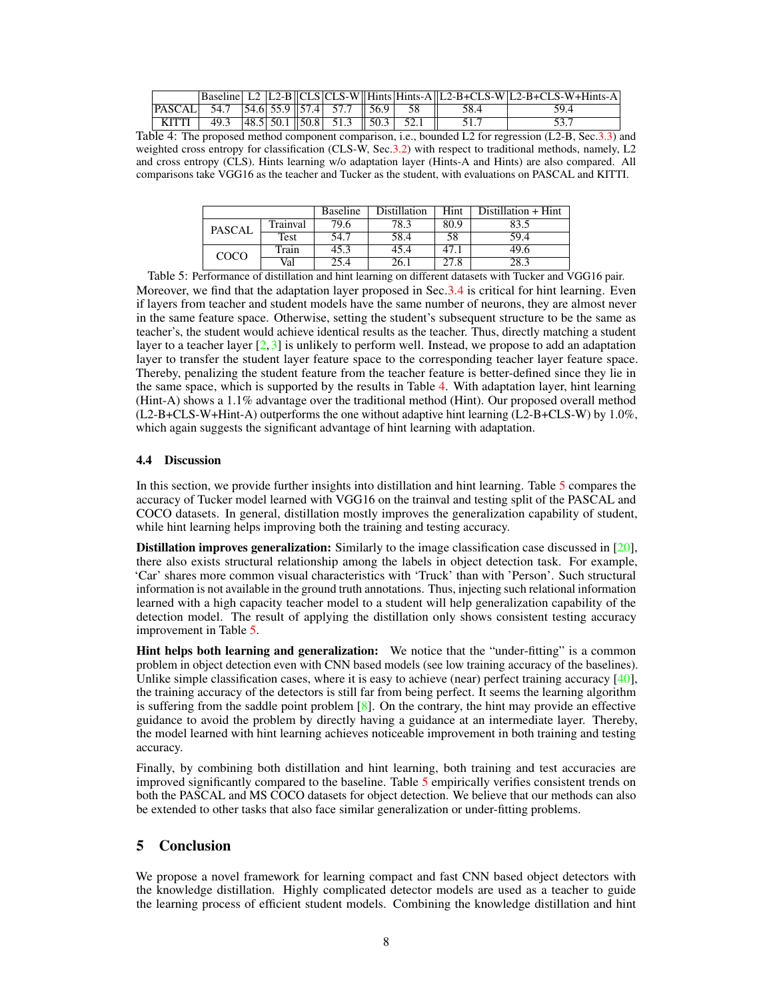|                                             |                                                                                                             |  |  |  |       | Baseline   L2 $ L2-B  CLS CLS-W  Hints Hints-A  L2-B+CLS-W L2-B+CLS-W+Hints-A $ |
|---------------------------------------------|-------------------------------------------------------------------------------------------------------------|--|--|--|-------|---------------------------------------------------------------------------------|
| $ PASCAL $ 54.7 54.6 55.9 57.4 57.7 56.9 58 |                                                                                                             |  |  |  | -58.4 | 59.4                                                                            |
| `KITTI                                      | $\frac{1}{9.3}$ $\left  48.5 \right  50.1 \left  50.8 \right  51.3 \left  50.3 \right  52.1 \left  \right $ |  |  |  |       |                                                                                 |

Table 4: The proposed method component comparison, i.e., bounded L2 for regression (L2-B, Sec.3.3) and weighted cross entropy for classification (CLS-W, Sec.3.2) with respect to traditional methods, namely, L2 and cross entropy (CLS). Hints learning w/o adaptation layer (Hints-A and Hints) are also compared. All comparisons take VGG16 as the teacher and Tucker as the student, with evaluations on PASCAL and KITTI.

|               |          | <b>Baseline</b> | <b>Distillation</b> | Hint | Distillation + Hint |
|---------------|----------|-----------------|---------------------|------|---------------------|
| <b>PASCAL</b> | Trainval | 79.6            | 78.3                | 80.9 | 83.5                |
|               | Test     | 54.7            | 58.4                | 58   | 59.4                |
| COCO          | Train    | 45.3            | 45.4                | 47.1 | 49.6                |
|               | Val      | 25.4            | 26.1                | 27.8 | 28.3                |

Table 5: Performance of distillation and hint learning on different datasets with Tucker and VGG16 pair. Moreover, we find that the adaptation layer proposed in Sec.3.4 is critical for hint learning. Even if layers from teacher and student models have the same number of neurons, they are almost never in the same feature space. Otherwise, setting the student's subsequent structure to be the same as teacher's, the student would achieve identical results as the teacher. Thus, directly matching a student layer to a teacher layer  $[2,3]$  is unlikely to perform well. Instead, we propose to add an adaptation layer to transfer the student layer feature space to the corresponding teacher layer feature space. Thereby, penalizing the student feature from the teacher feature is better-defined since they lie in the same space, which is supported by the results in Table 4. With adaptation layer, hint learning (Hint-A) shows a 1.1% advantage over the traditional method (Hint). Our proposed overall method  $(L2-B+CLS-W+Hint-A)$  outperforms the one without adaptive hint learning  $(L2-B+CLS-W)$  by  $1.0\%$ , which again suggests the significant advantage of hint learning with adaptation.

### 4.4 Discussion

In this section, we provide further insights into distillation and hint learning. Table 5 compares the accuracy of Tucker model learned with VGG16 on the trainval and testing split of the PASCAL and COCO datasets. In general, distillation mostly improves the generalization capability of student, while hint learning helps improving both the training and testing accuracy.

Distillation improves generalization: Similarly to the image classification case discussed in [20], there also exists structural relationship among the labels in object detection task. For example, 'Car' shares more common visual characteristics with 'Truck' than with 'Person'. Such structural information is not available in the ground truth annotations. Thus, injecting such relational information learned with a high capacity teacher model to a student will help generalization capability of the detection model. The result of applying the distillation only shows consistent testing accuracy improvement in Table 5.

Hint helps both learning and generalization: We notice that the "under-fitting" is a common problem in object detection even with CNN based models (see low training accuracy of the baselines). Unlike simple classification cases, where it is easy to achieve (near) perfect training accuracy [40], the training accuracy of the detectors is still far from being perfect. It seems the learning algorithm is suffering from the saddle point problem  $[8]$ . On the contrary, the hint may provide an effective guidance to avoid the problem by directly having a guidance at an intermediate layer. Thereby, the model learned with hint learning achieves noticeable improvement in both training and testing accuracy.

Finally, by combining both distillation and hint learning, both training and test accuracies are improved significantly compared to the baseline. Table 5 empirically verifies consistent trends on both the PASCAL and MS COCO datasets for object detection. We believe that our methods can also be extended to other tasks that also face similar generalization or under-fitting problems.

## 5 Conclusion

We propose a novel framework for learning compact and fast CNN based object detectors with the knowledge distillation. Highly complicated detector models are used as a teacher to guide the learning process of efficient student models. Combining the knowledge distillation and hint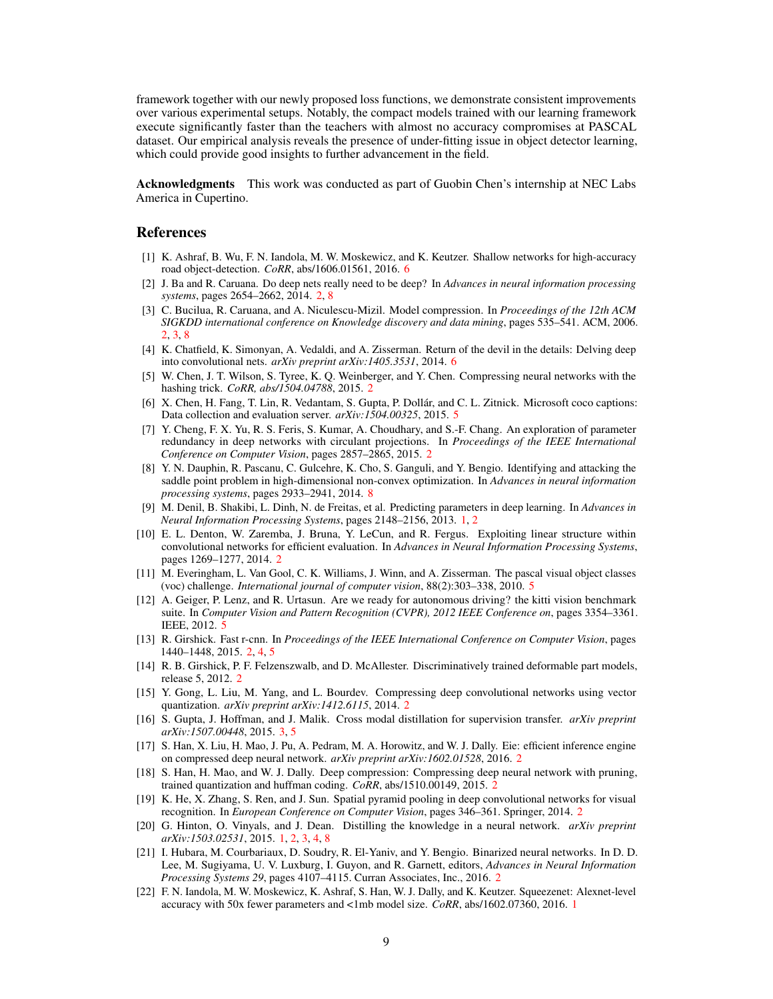framework together with our newly proposed loss functions, we demonstrate consistent improvements over various experimental setups. Notably, the compact models trained with our learning framework execute significantly faster than the teachers with almost no accuracy compromises at PASCAL dataset. Our empirical analysis reveals the presence of under-fitting issue in object detector learning, which could provide good insights to further advancement in the field.

Acknowledgments This work was conducted as part of Guobin Chen's internship at NEC Labs America in Cupertino.

#### References

- [1] K. Ashraf, B. Wu, F. N. Iandola, M. W. Moskewicz, and K. Keutzer. Shallow networks for high-accuracy road object-detection. *CoRR*, abs/1606.01561, 2016. 6
- [2] J. Ba and R. Caruana. Do deep nets really need to be deep? In *Advances in neural information processing systems*, pages 2654–2662, 2014. 2, 8
- [3] C. Bucilua, R. Caruana, and A. Niculescu-Mizil. Model compression. In *Proceedings of the 12th ACM SIGKDD international conference on Knowledge discovery and data mining*, pages 535–541. ACM, 2006. 2, 3, 8
- [4] K. Chatfield, K. Simonyan, A. Vedaldi, and A. Zisserman. Return of the devil in the details: Delving deep into convolutional nets. *arXiv preprint arXiv:1405.3531*, 2014. 6
- [5] W. Chen, J. T. Wilson, S. Tyree, K. Q. Weinberger, and Y. Chen. Compressing neural networks with the hashing trick. *CoRR, abs/1504.04788*, 2015. 2
- [6] X. Chen, H. Fang, T. Lin, R. Vedantam, S. Gupta, P. Dollár, and C. L. Zitnick. Microsoft coco captions: Data collection and evaluation server. *arXiv:1504.00325*, 2015. 5
- [7] Y. Cheng, F. X. Yu, R. S. Feris, S. Kumar, A. Choudhary, and S.-F. Chang. An exploration of parameter redundancy in deep networks with circulant projections. In *Proceedings of the IEEE International Conference on Computer Vision*, pages 2857–2865, 2015. 2
- [8] Y. N. Dauphin, R. Pascanu, C. Gulcehre, K. Cho, S. Ganguli, and Y. Bengio. Identifying and attacking the saddle point problem in high-dimensional non-convex optimization. In *Advances in neural information processing systems*, pages 2933–2941, 2014. 8
- [9] M. Denil, B. Shakibi, L. Dinh, N. de Freitas, et al. Predicting parameters in deep learning. In *Advances in Neural Information Processing Systems*, pages 2148–2156, 2013. 1, 2
- [10] E. L. Denton, W. Zaremba, J. Bruna, Y. LeCun, and R. Fergus. Exploiting linear structure within convolutional networks for efficient evaluation. In *Advances in Neural Information Processing Systems*, pages 1269–1277, 2014. 2
- [11] M. Everingham, L. Van Gool, C. K. Williams, J. Winn, and A. Zisserman. The pascal visual object classes (voc) challenge. *International journal of computer vision*, 88(2):303–338, 2010. 5
- [12] A. Geiger, P. Lenz, and R. Urtasun. Are we ready for autonomous driving? the kitti vision benchmark suite. In *Computer Vision and Pattern Recognition (CVPR), 2012 IEEE Conference on*, pages 3354–3361. IEEE, 2012. 5
- [13] R. Girshick. Fast r-cnn. In *Proceedings of the IEEE International Conference on Computer Vision*, pages 1440–1448, 2015. 2, 4, 5
- [14] R. B. Girshick, P. F. Felzenszwalb, and D. McAllester. Discriminatively trained deformable part models, release 5, 2012. 2
- [15] Y. Gong, L. Liu, M. Yang, and L. Bourdev. Compressing deep convolutional networks using vector quantization. *arXiv preprint arXiv:1412.6115*, 2014. 2
- [16] S. Gupta, J. Hoffman, and J. Malik. Cross modal distillation for supervision transfer. *arXiv preprint arXiv:1507.00448*, 2015. 3, 5
- [17] S. Han, X. Liu, H. Mao, J. Pu, A. Pedram, M. A. Horowitz, and W. J. Dally. Eie: efficient inference engine on compressed deep neural network. *arXiv preprint arXiv:1602.01528*, 2016. 2
- [18] S. Han, H. Mao, and W. J. Dally. Deep compression: Compressing deep neural network with pruning, trained quantization and huffman coding. *CoRR*, abs/1510.00149, 2015. 2
- [19] K. He, X. Zhang, S. Ren, and J. Sun. Spatial pyramid pooling in deep convolutional networks for visual recognition. In *European Conference on Computer Vision*, pages 346–361. Springer, 2014. 2
- [20] G. Hinton, O. Vinyals, and J. Dean. Distilling the knowledge in a neural network. *arXiv preprint arXiv:1503.02531*, 2015. 1, 2, 3, 4, 8
- [21] I. Hubara, M. Courbariaux, D. Soudry, R. El-Yaniv, and Y. Bengio. Binarized neural networks. In D. D. Lee, M. Sugiyama, U. V. Luxburg, I. Guyon, and R. Garnett, editors, *Advances in Neural Information Processing Systems 29*, pages 4107–4115. Curran Associates, Inc., 2016. 2
- [22] F. N. Iandola, M. W. Moskewicz, K. Ashraf, S. Han, W. J. Dally, and K. Keutzer. Squeezenet: Alexnet-level accuracy with 50x fewer parameters and <1mb model size. *CoRR*, abs/1602.07360, 2016. 1